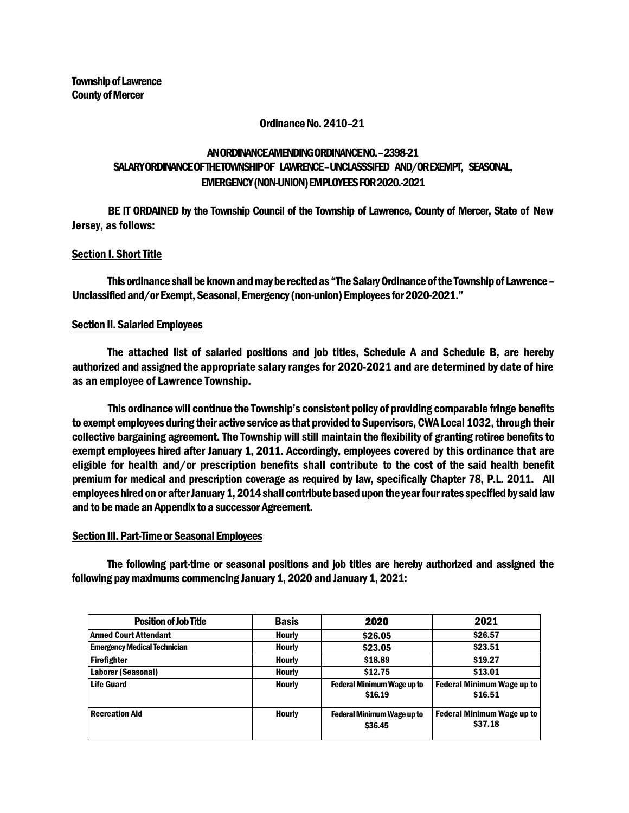### Ordinance No. 2410–21

# AN ORDINANCE AMENDING ORDINANCE NO. –2398-21 SALARYORDINANCE OFTHETOWNSHIPOF LAWRENCE–UNCLASSSIFED AND/OR EXEMPT, SEASONAL, EMERGENCY (NON-UNION) EMPLOYEES FOR 2020.-2021

BE IT ORDAINED by the Township Council of the Township of Lawrence, County of Mercer, State of New Jersey, as follows:

## Section I. Short Title

This ordinance shall be known and may be recited as "The Salary Ordinance of the Township of Lawrence – Unclassified and/or Exempt, Seasonal, Emergency (non-union) Employees for 2020-2021."

### Section II. Salaried Employees

The attached list of salaried positions and job titles, Schedule A and Schedule B, are hereby authorized and assigned the appropriate salary ranges for 2020-2021 and are determined by date of hire as an employee of Lawrence Township.

This ordinance will continue the Township's consistent policy of providing comparable fringe benefits to exempt employees during their active service as that provided to Supervisors, CWA Local 1032, through their collective bargaining agreement. The Township will still maintain the flexibility of granting retiree benefits to exempt employees hired after January 1, 2011. Accordingly, employees covered by this ordinance that are eligible for health and/or prescription benefits shall contribute to the cost of the said health benefit premium for medical and prescription coverage as required by law, specifically Chapter 78, P.L. 2011. All employees hired on or after January 1, 2014 shall contribute based upon the year four rates specified by said law and to be made an Appendix to a successor Agreement.

# Section III. Part-Time or Seasonal Employees

The following part-time or seasonal positions and job titles are hereby authorized and assigned the following pay maximums commencing January 1, 2020 and January 1, 2021:

| <b>Position of Job Title</b>        | <b>Basis</b>  | 2020                                         | 2021                                         |  |
|-------------------------------------|---------------|----------------------------------------------|----------------------------------------------|--|
| Armed Court Attendant               | <b>Hourly</b> | \$26.05                                      | \$26.57                                      |  |
| <b>Emergency Medical Technician</b> | <b>Hourly</b> | \$23.05                                      | \$23.51                                      |  |
| Firefighter                         | <b>Hourly</b> | \$18.89                                      | \$19.27                                      |  |
| Laborer (Seasonal)                  | <b>Hourly</b> | \$12.75                                      | \$13.01                                      |  |
| <b>Life Guard</b>                   | <b>Hourly</b> | <b>Federal Minimum Wage up to</b><br>\$16.19 | <b>Federal Minimum Wage up to</b><br>\$16.51 |  |
| <b>Recreation Aid</b>               | <b>Hourly</b> | <b>Federal Minimum Wage up to</b><br>\$36.45 | <b>Federal Minimum Wage up to</b><br>\$37.18 |  |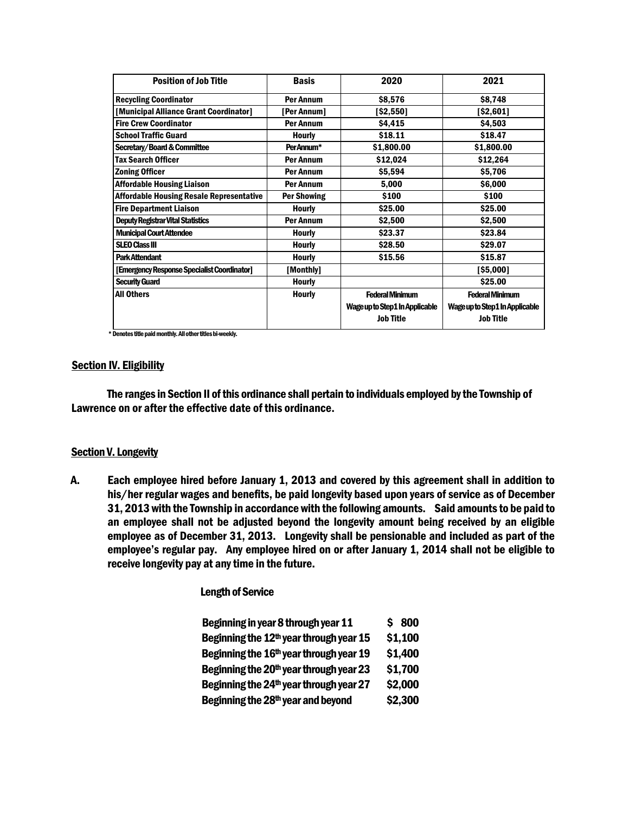| <b>Position of Job Title</b>                    | <b>Basis</b>       | 2020                           | 2021                           |  |
|-------------------------------------------------|--------------------|--------------------------------|--------------------------------|--|
| <b>Recycling Coordinator</b>                    | <b>Per Annum</b>   | \$8,576                        | \$8,748                        |  |
| [Municipal Alliance Grant Coordinator]          | [Per Annum]        | [\$2,550]                      | [\$2,601]                      |  |
| <b>Fire Crew Coordinator</b>                    | <b>Per Annum</b>   | \$4,415                        | \$4,503                        |  |
| <b>School Traffic Guard</b>                     | <b>Hourly</b>      | \$18.11                        | \$18.47                        |  |
| <b>Secretary/Board &amp; Committee</b>          | PerAnnum*          | \$1,800.00                     | \$1,800.00                     |  |
| <b>Tax Search Officer</b>                       | <b>Per Annum</b>   | \$12,024                       | \$12,264                       |  |
| <b>Zoning Officer</b>                           | <b>Per Annum</b>   | \$5,594                        | \$5,706                        |  |
| <b>Affordable Housing Liaison</b>               | <b>Per Annum</b>   | 5,000                          | \$6,000                        |  |
| <b>Affordable Housing Resale Representative</b> | <b>Per Showing</b> | \$100                          | \$100                          |  |
| <b>Fire Department Liaison</b>                  | <b>Hourly</b>      | \$25.00                        | \$25.00                        |  |
| <b>Deputy Registrar Vital Statistics</b>        | <b>Per Annum</b>   | \$2,500                        | \$2,500                        |  |
| <b>Municipal Court Attendee</b>                 | <b>Hourly</b>      | \$23.37                        | \$23.84                        |  |
| <b>SLEO Class III</b>                           | <b>Hourly</b>      | \$28.50                        | \$29.07                        |  |
| <b>Park Attendant</b>                           | Hourly             | \$15.56                        | \$15.87                        |  |
| [Emergency Response Specialist Coordinator]     | [Monthly]          |                                | [\$5,000]                      |  |
| <b>Security Guard</b>                           | <b>Hourly</b>      |                                | \$25.00                        |  |
| <b>All Others</b>                               | <b>Hourly</b>      | <b>Federal Minimum</b>         | <b>Federal Minimum</b>         |  |
|                                                 |                    | Wage up to Step1 In Applicable | Wage up to Step1 In Applicable |  |
|                                                 |                    | <b>Job Title</b>               | <b>Job Title</b>               |  |
|                                                 |                    |                                |                                |  |

\* Denotes title paid monthly. All other titles bi-weekly.

#### **Section IV. Eligibility**

The ranges in Section II of this ordinance shall pertain to individuals employed by the Township of Lawrence on or after the effective date of this ordinance.

### **Section V. Longevity**

A. Each employee hired before January 1, 2013 and covered by this agreement shall in addition to his/her regular wages and benefits, be paid longevity based upon years of service as of December 31, 2013 with the Township in accordance with the following amounts. Said amounts to be paid to an employee shall not be adjusted beyond the longevity amount being received by an eligible employee as of December 31, 2013. Longevity shall be pensionable and included as part of the employee's regular pay. Any employee hired on or after January 1, 2014 shall not be eligible to receive longevity pay at any time in the future.

Length of Service

| Beginning in year 8 through year 11                 | \$800   |
|-----------------------------------------------------|---------|
| Beginning the 12 <sup>th</sup> year through year 15 | \$1,100 |
| Beginning the 16 <sup>th</sup> year through year 19 | \$1,400 |
| Beginning the 20 <sup>th</sup> year through year 23 | \$1,700 |
| Beginning the 24 <sup>th</sup> year through year 27 | \$2,000 |
| Beginning the 28 <sup>th</sup> year and beyond      | \$2,300 |